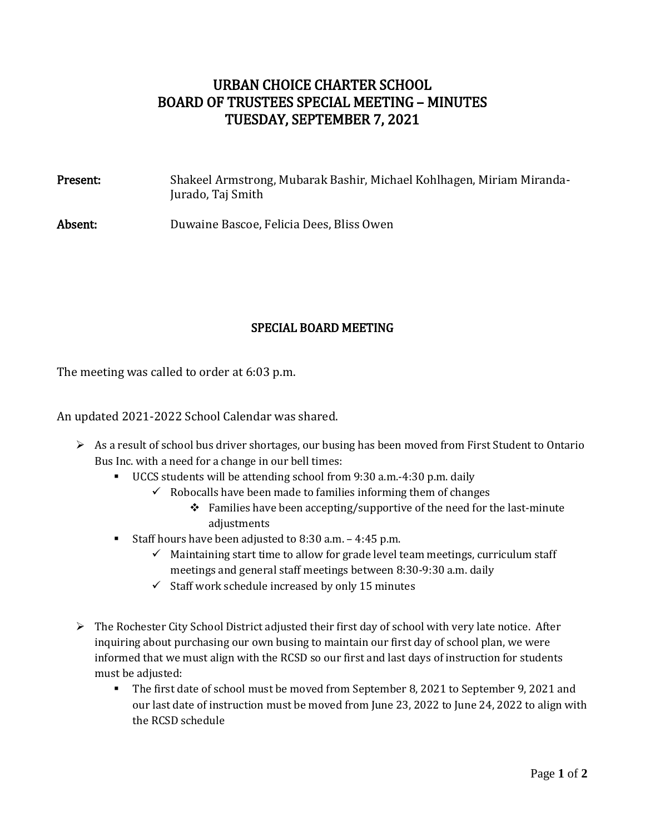## URBAN CHOICE CHARTER SCHOOL BOARD OF TRUSTEES SPECIAL MEETING – MINUTES TUESDAY, SEPTEMBER 7, 2021

| Present: | Shakeel Armstrong, Mubarak Bashir, Michael Kohlhagen, Miriam Miranda-<br>Jurado, Taj Smith |
|----------|--------------------------------------------------------------------------------------------|
| Absent:  | Duwaine Bascoe, Felicia Dees, Bliss Owen                                                   |

## SPECIAL BOARD MEETING

The meeting was called to order at 6:03 p.m.

An updated 2021-2022 School Calendar was shared.

- As a result of school bus driver shortages, our busing has been moved from First Student to Ontario Bus Inc. with a need for a change in our bell times:
	- UCCS students will be attending school from 9:30 a.m.-4:30 p.m. daily
		- $\checkmark$  Robocalls have been made to families informing them of changes
			- Families have been accepting/supportive of the need for the last-minute adjustments
	- Staff hours have been adjusted to  $8:30$  a.m.  $-4:45$  p.m.
		- $\checkmark$  Maintaining start time to allow for grade level team meetings, curriculum staff meetings and general staff meetings between 8:30-9:30 a.m. daily
		- $\checkmark$  Staff work schedule increased by only 15 minutes
- $\triangleright$  The Rochester City School District adjusted their first day of school with very late notice. After inquiring about purchasing our own busing to maintain our first day of school plan, we were informed that we must align with the RCSD so our first and last days of instruction for students must be adjusted:
	- The first date of school must be moved from September 8, 2021 to September 9, 2021 and our last date of instruction must be moved from June 23, 2022 to June 24, 2022 to align with the RCSD schedule